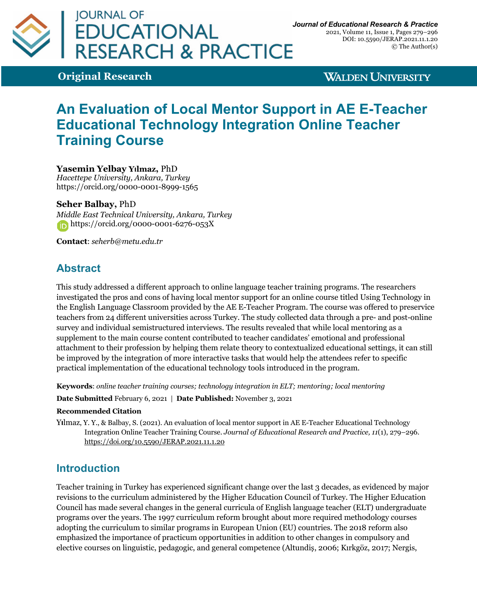

2021, Volume 11, Issue 1, Pages 279–296 DOI: 10.5590/JERAP.2021.11.1.20 © The Author(s)

**Original Research**

**WALDEN UNIVERSITY** 

# **An Evaluation of Local Mentor Support in AE E-Teacher Educational Technology Integration Online Teacher Training Course**

## **Yasemin Yelbay Yılmaz,** PhD

*Hacettepe University, Ankara, Turkey* https://orcid.org/0000-0001-8999-1565

### **Seher Balbay,** PhD

*Middle East Technical University, Ankara, Turkey* https://orcid.org/0000-0001-6276-053X

**Contact**: *seherb@metu.edu.tr*

# **Abstract**

This study addressed a different approach to online language teacher training programs. The researchers investigated the pros and cons of having local mentor support for an online course titled Using Technology in the English Language Classroom provided by the AE E-Teacher Program. The course was offered to preservice teachers from 24 different universities across Turkey. The study collected data through a pre- and post-online survey and individual semistructured interviews. The results revealed that while local mentoring as a supplement to the main course content contributed to teacher candidates' emotional and professional attachment to their profession by helping them relate theory to contextualized educational settings, it can still be improved by the integration of more interactive tasks that would help the attendees refer to specific practical implementation of the educational technology tools introduced in the program.

**Keywords**: *online teacher training courses; technology integration in ELT; mentoring; local mentoring*

**Date Submitted** February 6, 2021 | **Date Published:** November 3, 2021

#### **Recommended Citation**

Y**ı**lmaz, Y. Y., & Balbay, S. (2021). An evaluation of local mentor support in AE E-Teacher Educational Technology Integration Online Teacher Training Course. *Journal of Educational Research and Practice, 11*(1), 279–296. https://doi.org/10.5590/JERAP.2021.11.1.20

# **Introduction**

Teacher training in Turkey has experienced significant change over the last 3 decades, as evidenced by major revisions to the curriculum administered by the Higher Education Council of Turkey. The Higher Education Council has made several changes in the general curricula of English language teacher (ELT) undergraduate programs over the years. The 1997 curriculum reform brought about more required methodology courses adopting the curriculum to similar programs in European Union (EU) countries. The 2018 reform also emphasized the importance of practicum opportunities in addition to other changes in compulsory and elective courses on linguistic, pedagogic, and general competence (Altundiş, 2006; Kırkgöz, 2017; Nergis,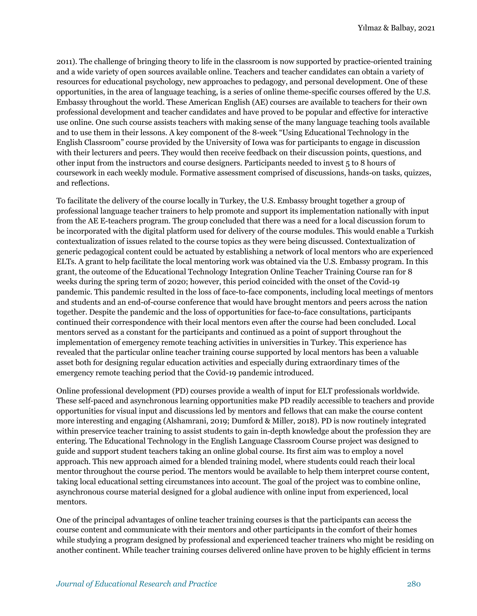2011). The challenge of bringing theory to life in the classroom is now supported by practice-oriented training and a wide variety of open sources available online. Teachers and teacher candidates can obtain a variety of resources for educational psychology, new approaches to pedagogy, and personal development. One of these opportunities, in the area of language teaching, is a series of online theme-specific courses offered by the U.S. Embassy throughout the world. These American English (AE) courses are available to teachers for their own professional development and teacher candidates and have proved to be popular and effective for interactive use online. One such course assists teachers with making sense of the many language teaching tools available and to use them in their lessons. A key component of the 8-week "Using Educational Technology in the English Classroom" course provided by the University of Iowa was for participants to engage in discussion with their lecturers and peers. They would then receive feedback on their discussion points, questions, and other input from the instructors and course designers. Participants needed to invest 5 to 8 hours of coursework in each weekly module. Formative assessment comprised of discussions, hands-on tasks, quizzes, and reflections.

To facilitate the delivery of the course locally in Turkey, the U.S. Embassy brought together a group of professional language teacher trainers to help promote and support its implementation nationally with input from the AE E-teachers program. The group concluded that there was a need for a local discussion forum to be incorporated with the digital platform used for delivery of the course modules. This would enable a Turkish contextualization of issues related to the course topics as they were being discussed. Contextualization of generic pedagogical content could be actuated by establishing a network of local mentors who are experienced ELTs. A grant to help facilitate the local mentoring work was obtained via the U.S. Embassy program. In this grant, the outcome of the Educational Technology Integration Online Teacher Training Course ran for 8 weeks during the spring term of 2020; however, this period coincided with the onset of the Covid-19 pandemic. This pandemic resulted in the loss of face-to-face components, including local meetings of mentors and students and an end-of-course conference that would have brought mentors and peers across the nation together. Despite the pandemic and the loss of opportunities for face-to-face consultations, participants continued their correspondence with their local mentors even after the course had been concluded. Local mentors served as a constant for the participants and continued as a point of support throughout the implementation of emergency remote teaching activities in universities in Turkey. This experience has revealed that the particular online teacher training course supported by local mentors has been a valuable asset both for designing regular education activities and especially during extraordinary times of the emergency remote teaching period that the Covid-19 pandemic introduced.

Online professional development (PD) courses provide a wealth of input for ELT professionals worldwide. These self-paced and asynchronous learning opportunities make PD readily accessible to teachers and provide opportunities for visual input and discussions led by mentors and fellows that can make the course content more interesting and engaging (Alshamrani, 2019; Dumford & Miller, 2018). PD is now routinely integrated within preservice teacher training to assist students to gain in-depth knowledge about the profession they are entering. The Educational Technology in the English Language Classroom Course project was designed to guide and support student teachers taking an online global course. Its first aim was to employ a novel approach. This new approach aimed for a blended training model, where students could reach their local mentor throughout the course period. The mentors would be available to help them interpret course content, taking local educational setting circumstances into account. The goal of the project was to combine online, asynchronous course material designed for a global audience with online input from experienced, local mentors.

One of the principal advantages of online teacher training courses is that the participants can access the course content and communicate with their mentors and other participants in the comfort of their homes while studying a program designed by professional and experienced teacher trainers who might be residing on another continent. While teacher training courses delivered online have proven to be highly efficient in terms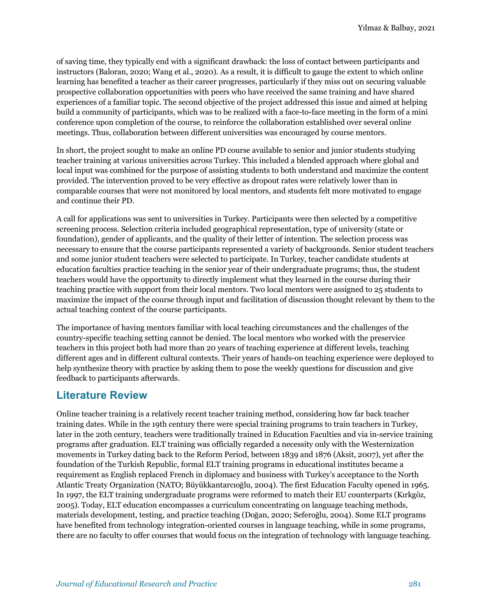of saving time, they typically end with a significant drawback: the loss of contact between participants and instructors (Baloran, 2020; Wang et al., 2020). As a result, it is difficult to gauge the extent to which online learning has benefited a teacher as their career progresses, particularly if they miss out on securing valuable prospective collaboration opportunities with peers who have received the same training and have shared experiences of a familiar topic. The second objective of the project addressed this issue and aimed at helping build a community of participants, which was to be realized with a face-to-face meeting in the form of a mini conference upon completion of the course, to reinforce the collaboration established over several online meetings. Thus, collaboration between different universities was encouraged by course mentors.

In short, the project sought to make an online PD course available to senior and junior students studying teacher training at various universities across Turkey. This included a blended approach where global and local input was combined for the purpose of assisting students to both understand and maximize the content provided. The intervention proved to be very effective as dropout rates were relatively lower than in comparable courses that were not monitored by local mentors, and students felt more motivated to engage and continue their PD.

A call for applications was sent to universities in Turkey. Participants were then selected by a competitive screening process. Selection criteria included geographical representation, type of university (state or foundation), gender of applicants, and the quality of their letter of intention. The selection process was necessary to ensure that the course participants represented a variety of backgrounds. Senior student teachers and some junior student teachers were selected to participate. In Turkey, teacher candidate students at education faculties practice teaching in the senior year of their undergraduate programs; thus, the student teachers would have the opportunity to directly implement what they learned in the course during their teaching practice with support from their local mentors. Two local mentors were assigned to 25 students to maximize the impact of the course through input and facilitation of discussion thought relevant by them to the actual teaching context of the course participants.

The importance of having mentors familiar with local teaching circumstances and the challenges of the country-specific teaching setting cannot be denied. The local mentors who worked with the preservice teachers in this project both had more than 20 years of teaching experience at different levels, teaching different ages and in different cultural contexts. Their years of hands-on teaching experience were deployed to help synthesize theory with practice by asking them to pose the weekly questions for discussion and give feedback to participants afterwards.

# **Literature Review**

Online teacher training is a relatively recent teacher training method, considering how far back teacher training dates. While in the 19th century there were special training programs to train teachers in Turkey, later in the 20th century, teachers were traditionally trained in Education Faculties and via in-service training programs after graduation. ELT training was officially regarded a necessity only with the Westernization movements in Turkey dating back to the Reform Period, between 1839 and 1876 (Aksit, 2007), yet after the foundation of the Turkish Republic, formal ELT training programs in educational institutes became a requirement as English replaced French in diplomacy and business with Turkey's acceptance to the North Atlantic Treaty Organization (NATO; Büyükkantarcıoğlu, 2004). The first Education Faculty opened in 1965. In 1997, the ELT training undergraduate programs were reformed to match their EU counterparts (Kırkgöz, 2005). Today, ELT education encompasses a curriculum concentrating on language teaching methods, materials development, testing, and practice teaching (Doğan, 2020; Seferoğlu, 2004). Some ELT programs have benefited from technology integration-oriented courses in language teaching, while in some programs, there are no faculty to offer courses that would focus on the integration of technology with language teaching.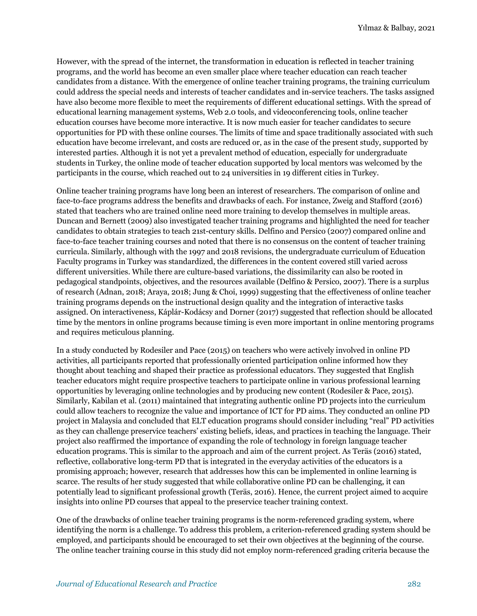However, with the spread of the internet, the transformation in education is reflected in teacher training programs, and the world has become an even smaller place where teacher education can reach teacher candidates from a distance. With the emergence of online teacher training programs, the training curriculum could address the special needs and interests of teacher candidates and in-service teachers. The tasks assigned have also become more flexible to meet the requirements of different educational settings. With the spread of educational learning management systems, Web 2.0 tools, and videoconferencing tools, online teacher education courses have become more interactive. It is now much easier for teacher candidates to secure opportunities for PD with these online courses. The limits of time and space traditionally associated with such education have become irrelevant, and costs are reduced or, as in the case of the present study, supported by interested parties. Although it is not yet a prevalent method of education, especially for undergraduate students in Turkey, the online mode of teacher education supported by local mentors was welcomed by the participants in the course, which reached out to 24 universities in 19 different cities in Turkey.

Online teacher training programs have long been an interest of researchers. The comparison of online and face-to-face programs address the benefits and drawbacks of each. For instance, Zweig and Stafford (2016) stated that teachers who are trained online need more training to develop themselves in multiple areas. Duncan and Bernett (2009) also investigated teacher training programs and highlighted the need for teacher candidates to obtain strategies to teach 21st-century skills. Delfino and Persico (2007) compared online and face-to-face teacher training courses and noted that there is no consensus on the content of teacher training curricula. Similarly, although with the 1997 and 2018 revisions, the undergraduate curriculum of Education Faculty programs in Turkey was standardized, the differences in the content covered still varied across different universities. While there are culture-based variations, the dissimilarity can also be rooted in pedagogical standpoints, objectives, and the resources available (Delfino & Persico, 2007). There is a surplus of research (Adnan, 2018; Araya, 2018; Jung & Choi, 1999) suggesting that the effectiveness of online teacher training programs depends on the instructional design quality and the integration of interactive tasks assigned. On interactiveness, Káplár-Kodácsy and Dorner (2017) suggested that reflection should be allocated time by the mentors in online programs because timing is even more important in online mentoring programs and requires meticulous planning.

In a study conducted by Rodesiler and Pace (2015) on teachers who were actively involved in online PD activities, all participants reported that professionally oriented participation online informed how they thought about teaching and shaped their practice as professional educators. They suggested that English teacher educators might require prospective teachers to participate online in various professional learning opportunities by leveraging online technologies and by producing new content (Rodesiler & Pace, 2015). Similarly, Kabilan et al. (2011) maintained that integrating authentic online PD projects into the curriculum could allow teachers to recognize the value and importance of ICT for PD aims. They conducted an online PD project in Malaysia and concluded that ELT education programs should consider including "real" PD activities as they can challenge preservice teachers' existing beliefs, ideas, and practices in teaching the language. Their project also reaffirmed the importance of expanding the role of technology in foreign language teacher education programs. This is similar to the approach and aim of the current project. As Teräs (2016) stated, reflective, collaborative long-term PD that is integrated in the everyday activities of the educators is a promising approach; however, research that addresses how this can be implemented in online learning is scarce. The results of her study suggested that while collaborative online PD can be challenging, it can potentially lead to significant professional growth (Teräs, 2016). Hence, the current project aimed to acquire insights into online PD courses that appeal to the preservice teacher training context.

One of the drawbacks of online teacher training programs is the norm-referenced grading system, where identifying the norm is a challenge. To address this problem, a criterion-referenced grading system should be employed, and participants should be encouraged to set their own objectives at the beginning of the course. The online teacher training course in this study did not employ norm-referenced grading criteria because the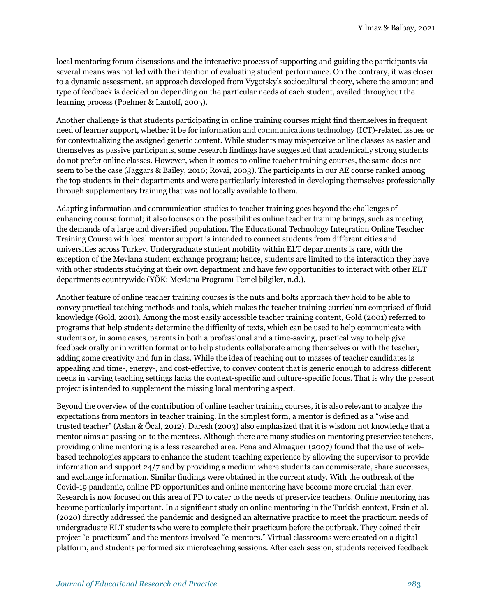local mentoring forum discussions and the interactive process of supporting and guiding the participants via several means was not led with the intention of evaluating student performance. On the contrary, it was closer to a dynamic assessment, an approach developed from Vygotsky's sociocultural theory, where the amount and type of feedback is decided on depending on the particular needs of each student, availed throughout the learning process (Poehner & Lantolf, 2005).

Another challenge is that students participating in online training courses might find themselves in frequent need of learner support, whether it be for information and communications technology (ICT)-related issues or for contextualizing the assigned generic content. While students may misperceive online classes as easier and themselves as passive participants, some research findings have suggested that academically strong students do not prefer online classes. However, when it comes to online teacher training courses, the same does not seem to be the case (Jaggars & Bailey, 2010; Rovai, 2003). The participants in our AE course ranked among the top students in their departments and were particularly interested in developing themselves professionally through supplementary training that was not locally available to them.

Adapting information and communication studies to teacher training goes beyond the challenges of enhancing course format; it also focuses on the possibilities online teacher training brings, such as meeting the demands of a large and diversified population. The Educational Technology Integration Online Teacher Training Course with local mentor support is intended to connect students from different cities and universities across Turkey. Undergraduate student mobility within ELT departments is rare, with the exception of the Mevlana student exchange program; hence, students are limited to the interaction they have with other students studying at their own department and have few opportunities to interact with other ELT departments countrywide (YÖK: Mevlana Programı Temel bilgiler, n.d.).

Another feature of online teacher training courses is the nuts and bolts approach they hold to be able to convey practical teaching methods and tools, which makes the teacher training curriculum comprised of fluid knowledge (Gold, 2001). Among the most easily accessible teacher training content, Gold (2001) referred to programs that help students determine the difficulty of texts, which can be used to help communicate with students or, in some cases, parents in both a professional and a time-saving, practical way to help give feedback orally or in written format or to help students collaborate among themselves or with the teacher, adding some creativity and fun in class. While the idea of reaching out to masses of teacher candidates is appealing and time-, energy-, and cost-effective, to convey content that is generic enough to address different needs in varying teaching settings lacks the context-specific and culture-specific focus. That is why the present project is intended to supplement the missing local mentoring aspect.

Beyond the overview of the contribution of online teacher training courses, it is also relevant to analyze the expectations from mentors in teacher training. In the simplest form, a mentor is defined as a "wise and trusted teacher" (Aslan & Öcal, 2012). Daresh (2003) also emphasized that it is wisdom not knowledge that a mentor aims at passing on to the mentees. Although there are many studies on mentoring preservice teachers, providing online mentoring is a less researched area. Pena and Almaguer (2007) found that the use of webbased technologies appears to enhance the student teaching experience by allowing the supervisor to provide information and support 24/7 and by providing a medium where students can commiserate, share successes, and exchange information. Similar findings were obtained in the current study. With the outbreak of the Covid-19 pandemic, online PD opportunities and online mentoring have become more crucial than ever. Research is now focused on this area of PD to cater to the needs of preservice teachers. Online mentoring has become particularly important. In a significant study on online mentoring in the Turkish context, Ersin et al. (2020) directly addressed the pandemic and designed an alternative practice to meet the practicum needs of undergraduate ELT students who were to complete their practicum before the outbreak. They coined their project "e-practicum" and the mentors involved "e-mentors." Virtual classrooms were created on a digital platform, and students performed six microteaching sessions. After each session, students received feedback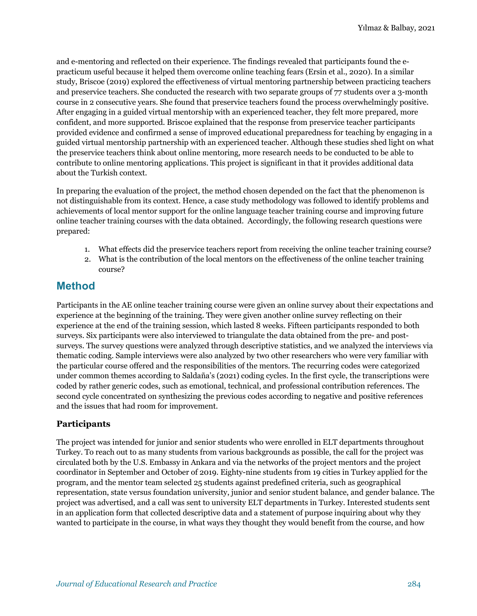and e-mentoring and reflected on their experience. The findings revealed that participants found the epracticum useful because it helped them overcome online teaching fears (Ersin et al., 2020). In a similar study, Briscoe (2019) explored the effectiveness of virtual mentoring partnership between practicing teachers and preservice teachers. She conducted the research with two separate groups of 77 students over a 3-month course in 2 consecutive years. She found that preservice teachers found the process overwhelmingly positive. After engaging in a guided virtual mentorship with an experienced teacher, they felt more prepared, more confident, and more supported. Briscoe explained that the response from preservice teacher participants provided evidence and confirmed a sense of improved educational preparedness for teaching by engaging in a guided virtual mentorship partnership with an experienced teacher. Although these studies shed light on what the preservice teachers think about online mentoring, more research needs to be conducted to be able to contribute to online mentoring applications. This project is significant in that it provides additional data about the Turkish context.

In preparing the evaluation of the project, the method chosen depended on the fact that the phenomenon is not distinguishable from its context. Hence, a case study methodology was followed to identify problems and achievements of local mentor support for the online language teacher training course and improving future online teacher training courses with the data obtained. Accordingly, the following research questions were prepared:

- 1. What effects did the preservice teachers report from receiving the online teacher training course?
- 2. What is the contribution of the local mentors on the effectiveness of the online teacher training course?

## **Method**

Participants in the AE online teacher training course were given an online survey about their expectations and experience at the beginning of the training. They were given another online survey reflecting on their experience at the end of the training session, which lasted 8 weeks. Fifteen participants responded to both surveys. Six participants were also interviewed to triangulate the data obtained from the pre- and postsurveys. The survey questions were analyzed through descriptive statistics, and we analyzed the interviews via thematic coding. Sample interviews were also analyzed by two other researchers who were very familiar with the particular course offered and the responsibilities of the mentors. The recurring codes were categorized under common themes according to Saldaña's (2021) coding cycles. In the first cycle, the transcriptions were coded by rather generic codes, such as emotional, technical, and professional contribution references. The second cycle concentrated on synthesizing the previous codes according to negative and positive references and the issues that had room for improvement.

## **Participants**

The project was intended for junior and senior students who were enrolled in ELT departments throughout Turkey. To reach out to as many students from various backgrounds as possible, the call for the project was circulated both by the U.S. Embassy in Ankara and via the networks of the project mentors and the project coordinator in September and October of 2019. Eighty-nine students from 19 cities in Turkey applied for the program, and the mentor team selected 25 students against predefined criteria, such as geographical representation, state versus foundation university, junior and senior student balance, and gender balance. The project was advertised, and a call was sent to university ELT departments in Turkey. Interested students sent in an application form that collected descriptive data and a statement of purpose inquiring about why they wanted to participate in the course, in what ways they thought they would benefit from the course, and how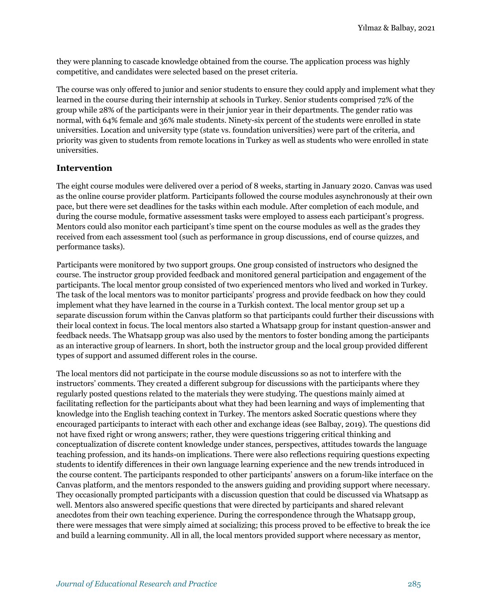they were planning to cascade knowledge obtained from the course. The application process was highly competitive, and candidates were selected based on the preset criteria.

The course was only offered to junior and senior students to ensure they could apply and implement what they learned in the course during their internship at schools in Turkey. Senior students comprised 72% of the group while 28% of the participants were in their junior year in their departments. The gender ratio was normal, with 64% female and 36% male students. Ninety-six percent of the students were enrolled in state universities. Location and university type (state vs. foundation universities) were part of the criteria, and priority was given to students from remote locations in Turkey as well as students who were enrolled in state universities.

### **Intervention**

The eight course modules were delivered over a period of 8 weeks, starting in January 2020. Canvas was used as the online course provider platform. Participants followed the course modules asynchronously at their own pace, but there were set deadlines for the tasks within each module. After completion of each module, and during the course module, formative assessment tasks were employed to assess each participant's progress. Mentors could also monitor each participant's time spent on the course modules as well as the grades they received from each assessment tool (such as performance in group discussions, end of course quizzes, and performance tasks).

Participants were monitored by two support groups. One group consisted of instructors who designed the course. The instructor group provided feedback and monitored general participation and engagement of the participants. The local mentor group consisted of two experienced mentors who lived and worked in Turkey. The task of the local mentors was to monitor participants' progress and provide feedback on how they could implement what they have learned in the course in a Turkish context. The local mentor group set up a separate discussion forum within the Canvas platform so that participants could further their discussions with their local context in focus. The local mentors also started a Whatsapp group for instant question-answer and feedback needs. The Whatsapp group was also used by the mentors to foster bonding among the participants as an interactive group of learners. In short, both the instructor group and the local group provided different types of support and assumed different roles in the course.

The local mentors did not participate in the course module discussions so as not to interfere with the instructors' comments. They created a different subgroup for discussions with the participants where they regularly posted questions related to the materials they were studying. The questions mainly aimed at facilitating reflection for the participants about what they had been learning and ways of implementing that knowledge into the English teaching context in Turkey. The mentors asked Socratic questions where they encouraged participants to interact with each other and exchange ideas (see Balbay, 2019). The questions did not have fixed right or wrong answers; rather, they were questions triggering critical thinking and conceptualization of discrete content knowledge under stances, perspectives, attitudes towards the language teaching profession, and its hands-on implications. There were also reflections requiring questions expecting students to identify differences in their own language learning experience and the new trends introduced in the course content. The participants responded to other participants' answers on a forum-like interface on the Canvas platform, and the mentors responded to the answers guiding and providing support where necessary. They occasionally prompted participants with a discussion question that could be discussed via Whatsapp as well. Mentors also answered specific questions that were directed by participants and shared relevant anecdotes from their own teaching experience. During the correspondence through the Whatsapp group, there were messages that were simply aimed at socializing; this process proved to be effective to break the ice and build a learning community. All in all, the local mentors provided support where necessary as mentor,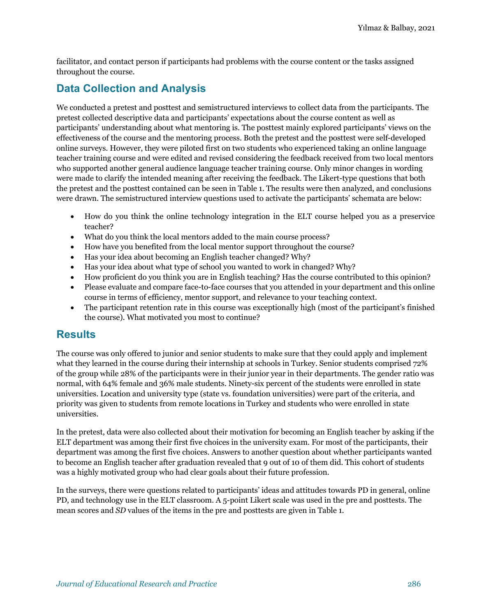facilitator, and contact person if participants had problems with the course content or the tasks assigned throughout the course.

# **Data Collection and Analysis**

We conducted a pretest and posttest and semistructured interviews to collect data from the participants. The pretest collected descriptive data and participants' expectations about the course content as well as participants' understanding about what mentoring is. The posttest mainly explored participants' views on the effectiveness of the course and the mentoring process. Both the pretest and the posttest were self-developed online surveys. However, they were piloted first on two students who experienced taking an online language teacher training course and were edited and revised considering the feedback received from two local mentors who supported another general audience language teacher training course. Only minor changes in wording were made to clarify the intended meaning after receiving the feedback. The Likert-type questions that both the pretest and the posttest contained can be seen in Table 1. The results were then analyzed, and conclusions were drawn. The semistructured interview questions used to activate the participants' schemata are below:

- How do you think the online technology integration in the ELT course helped you as a preservice teacher?
- What do you think the local mentors added to the main course process?
- How have you benefited from the local mentor support throughout the course?
- Has your idea about becoming an English teacher changed? Why?
- Has your idea about what type of school you wanted to work in changed? Why?
- How proficient do you think you are in English teaching? Has the course contributed to this opinion?
- Please evaluate and compare face-to-face courses that you attended in your department and this online course in terms of efficiency, mentor support, and relevance to your teaching context.
- The participant retention rate in this course was exceptionally high (most of the participant's finished the course). What motivated you most to continue?

# **Results**

The course was only offered to junior and senior students to make sure that they could apply and implement what they learned in the course during their internship at schools in Turkey. Senior students comprised 72% of the group while 28% of the participants were in their junior year in their departments. The gender ratio was normal, with 64% female and 36% male students. Ninety-six percent of the students were enrolled in state universities. Location and university type (state vs. foundation universities) were part of the criteria, and priority was given to students from remote locations in Turkey and students who were enrolled in state universities.

In the pretest, data were also collected about their motivation for becoming an English teacher by asking if the ELT department was among their first five choices in the university exam. For most of the participants, their department was among the first five choices. Answers to another question about whether participants wanted to become an English teacher after graduation revealed that 9 out of 10 of them did. This cohort of students was a highly motivated group who had clear goals about their future profession.

In the surveys, there were questions related to participants' ideas and attitudes towards PD in general, online PD, and technology use in the ELT classroom. A 5-point Likert scale was used in the pre and posttests. The mean scores and *SD* values of the items in the pre and posttests are given in Table 1.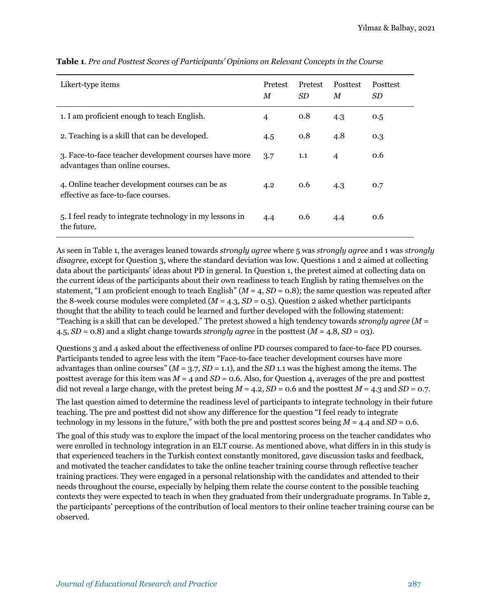| Likert-type items                                                                        | Pretest<br>M | Pretest<br><i>SD</i> | Posttest<br>M  | Posttest<br>SD. |
|------------------------------------------------------------------------------------------|--------------|----------------------|----------------|-----------------|
| 1. I am proficient enough to teach English.                                              | 4            | 0.8                  | 4.3            | 0.5             |
| 2. Teaching is a skill that can be developed.                                            | 4.5          | 0.8                  | 4.8            | 0.3             |
| 3. Face-to-face teacher development courses have more<br>advantages than online courses. | 3.7          | 1.1                  | $\overline{4}$ | 0.6             |
| 4. Online teacher development courses can be as<br>effective as face-to-face courses.    | 4.2          | 0.6                  | 4.3            | 0.7             |
| 5. I feel ready to integrate technology in my lessons in<br>the future.                  | 4.4          | 0.6                  | 4.4            | 0.6             |

#### **Table 1**. *Pre and Posttest Scores of Participants' Opinions on Relevant Concepts in the Course*

As seen in Table 1, the averages leaned towards *strongly agree* where 5 was *strongly agree* and 1 was *strongly disagree*, except for Question 3, where the standard deviation was low. Questions 1 and 2 aimed at collecting data about the participants' ideas about PD in general. In Question 1, the pretest aimed at collecting data on the current ideas of the participants about their own readiness to teach English by rating themselves on the statement, "I am proficient enough to teach English"  $(M = 4, SD = 0.8)$ ; the same question was repeated after the 8-week course modules were completed  $(M = 4.3, SD = 0.5)$ . Question 2 asked whether participants thought that the ability to teach could be learned and further developed with the following statement: "Teaching is a skill that can be developed." The pretest showed a high tendency towards *strongly agree* (*M* = 4.5,  $SD = 0.8$ ) and a slight change towards *strongly agree* in the posttest  $(M = 4.8, SD = 03)$ .

Questions 3 and 4 asked about the effectiveness of online PD courses compared to face-to-face PD courses. Participants tended to agree less with the item "Face-to-face teacher development courses have more advantages than online courses" (*M* = 3.7, *SD* = 1.1), and the *SD* 1.1 was the highest among the items. The posttest average for this item was *M* = 4 and *SD* = 0.6. Also, for Question 4, averages of the pre and posttest did not reveal a large change, with the pretest being  $M = 4.2$ ,  $SD = 0.6$  and the posttest  $M = 4.3$  and  $SD = 0.7$ .

The last question aimed to determine the readiness level of participants to integrate technology in their future teaching. The pre and posttest did not show any difference for the question "I feel ready to integrate technology in my lessons in the future," with both the pre and posttest scores being *M* = 4.4 and *SD* = 0.6.

The goal of this study was to explore the impact of the local mentoring process on the teacher candidates who were enrolled in technology integration in an ELT course. As mentioned above, what differs in in this study is that experienced teachers in the Turkish context constantly monitored, gave discussion tasks and feedback, and motivated the teacher candidates to take the online teacher training course through reflective teacher training practices. They were engaged in a personal relationship with the candidates and attended to their needs throughout the course, especially by helping them relate the course content to the possible teaching contexts they were expected to teach in when they graduated from their undergraduate programs. In Table 2, the participants' perceptions of the contribution of local mentors to their online teacher training course can be observed.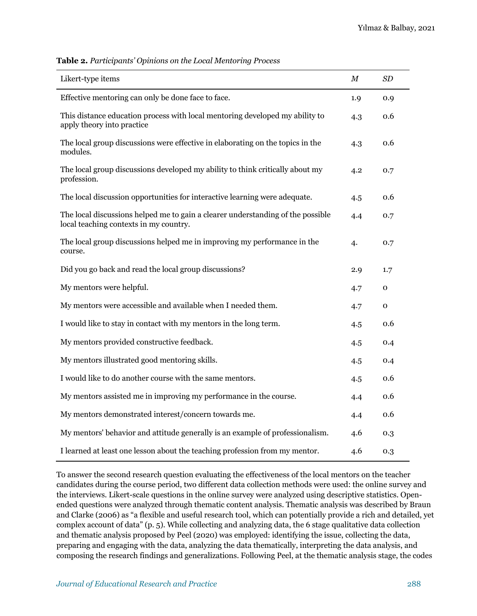| Likert-type items                                                                                                         | М   | SD  |
|---------------------------------------------------------------------------------------------------------------------------|-----|-----|
| Effective mentoring can only be done face to face.                                                                        | 1.9 | 0.9 |
| This distance education process with local mentoring developed my ability to<br>apply theory into practice                | 4.3 | 0.6 |
| The local group discussions were effective in elaborating on the topics in the<br>modules.                                | 4.3 | 0.6 |
| The local group discussions developed my ability to think critically about my<br>profession.                              | 4.2 | 0.7 |
| The local discussion opportunities for interactive learning were adequate.                                                | 4.5 | 0.6 |
| The local discussions helped me to gain a clearer understanding of the possible<br>local teaching contexts in my country. | 4.4 | 0.7 |
| The local group discussions helped me in improving my performance in the<br>course.                                       | 4.  | 0.7 |
| Did you go back and read the local group discussions?                                                                     | 2.9 | 1.7 |
| My mentors were helpful.                                                                                                  | 4.7 | 0   |
| My mentors were accessible and available when I needed them.                                                              | 4.7 | O   |
| I would like to stay in contact with my mentors in the long term.                                                         | 4.5 | 0.6 |
| My mentors provided constructive feedback.                                                                                | 4.5 | 0.4 |
| My mentors illustrated good mentoring skills.                                                                             | 4.5 | 0.4 |
| I would like to do another course with the same mentors.                                                                  | 4.5 | 0.6 |
| My mentors assisted me in improving my performance in the course.                                                         | 4.4 | 0.6 |
| My mentors demonstrated interest/concern towards me.                                                                      | 4.4 | 0.6 |
| My mentors' behavior and attitude generally is an example of professionalism.                                             | 4.6 | 0.3 |
| I learned at least one lesson about the teaching profession from my mentor.                                               | 4.6 | 0.3 |

**Table 2.** *Participants' Opinions on the Local Mentoring Process*

To answer the second research question evaluating the effectiveness of the local mentors on the teacher candidates during the course period, two different data collection methods were used: the online survey and the interviews. Likert-scale questions in the online survey were analyzed using descriptive statistics. Openended questions were analyzed through thematic content analysis. Thematic analysis was described by Braun and Clarke (2006) as "a flexible and useful research tool, which can potentially provide a rich and detailed, yet complex account of data" (p. 5). While collecting and analyzing data, the 6 stage qualitative data collection and thematic analysis proposed by Peel (2020) was employed: identifying the issue, collecting the data, preparing and engaging with the data, analyzing the data thematically, interpreting the data analysis, and composing the research findings and generalizations. Following Peel, at the thematic analysis stage, the codes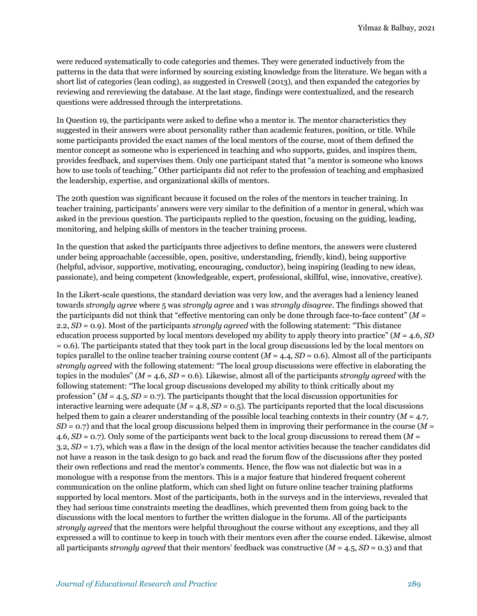were reduced systematically to code categories and themes. They were generated inductively from the patterns in the data that were informed by sourcing existing knowledge from the literature. We began with a short list of categories (lean coding), as suggested in Creswell (2013), and then expanded the categories by reviewing and rereviewing the database. At the last stage, findings were contextualized, and the research questions were addressed through the interpretations.

In Question 19, the participants were asked to define who a mentor is. The mentor characteristics they suggested in their answers were about personality rather than academic features, position, or title. While some participants provided the exact names of the local mentors of the course, most of them defined the mentor concept as someone who is experienced in teaching and who supports, guides, and inspires them, provides feedback, and supervises them. Only one participant stated that "a mentor is someone who knows how to use tools of teaching." Other participants did not refer to the profession of teaching and emphasized the leadership, expertise, and organizational skills of mentors.

The 20th question was significant because it focused on the roles of the mentors in teacher training. In teacher training, participants' answers were very similar to the definition of a mentor in general, which was asked in the previous question. The participants replied to the question, focusing on the guiding, leading, monitoring, and helping skills of mentors in the teacher training process.

In the question that asked the participants three adjectives to define mentors, the answers were clustered under being approachable (accessible, open, positive, understanding, friendly, kind), being supportive (helpful, advisor, supportive, motivating, encouraging, conductor), being inspiring (leading to new ideas, passionate), and being competent (knowledgeable, expert, professional, skillful, wise, innovative, creative).

In the Likert-scale questions, the standard deviation was very low, and the averages had a leniency leaned towards *strongly agree* where 5 was *strongly agree* and 1 was *strongly disagree*. The findings showed that the participants did not think that "effective mentoring can only be done through face-to-face content" (*M* = 2.2, *SD* = 0.9). Most of the participants *strongly agreed* with the following statement: "This distance education process supported by local mentors developed my ability to apply theory into practice" (*M* = 4.6, *SD* = 0.6). The participants stated that they took part in the local group discussions led by the local mentors on topics parallel to the online teacher training course content (*M* = 4.4, *SD* = 0.6). Almost all of the participants *strongly agreed* with the following statement: "The local group discussions were effective in elaborating the topics in the modules" (*M* = 4.6, *SD* = 0.6). Likewise, almost all of the participants *strongly agreed* with the following statement: "The local group discussions developed my ability to think critically about my profession" (*M* = 4.5, *SD* = 0.7). The participants thought that the local discussion opportunities for interactive learning were adequate  $(M = 4.8, SD = 0.5)$ . The participants reported that the local discussions helped them to gain a clearer understanding of the possible local teaching contexts in their country (*M* = 4.7, *SD* = 0.7) and that the local group discussions helped them in improving their performance in the course (*M* = 4.6, *SD* = 0.7). Only some of the participants went back to the local group discussions to reread them (*M* = 3.2, *SD* = 1.7), which was a flaw in the design of the local mentor activities because the teacher candidates did not have a reason in the task design to go back and read the forum flow of the discussions after they posted their own reflections and read the mentor's comments. Hence, the flow was not dialectic but was in a monologue with a response from the mentors. This is a major feature that hindered frequent coherent communication on the online platform, which can shed light on future online teacher training platforms supported by local mentors. Most of the participants, both in the surveys and in the interviews, revealed that they had serious time constraints meeting the deadlines, which prevented them from going back to the discussions with the local mentors to further the written dialogue in the forums. All of the participants *strongly agreed* that the mentors were helpful throughout the course without any exceptions, and they all expressed a will to continue to keep in touch with their mentors even after the course ended. Likewise, almost all participants *strongly agreed* that their mentors' feedback was constructive (*M* = 4.5, *SD* = 0.3) and that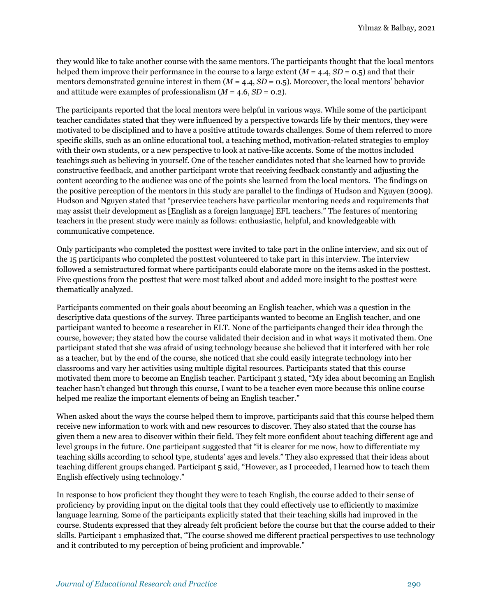they would like to take another course with the same mentors. The participants thought that the local mentors helped them improve their performance in the course to a large extent  $(M = 4.4, SD = 0.5)$  and that their mentors demonstrated genuine interest in them  $(M = 4.4, SD = 0.5)$ . Moreover, the local mentors' behavior and attitude were examples of professionalism  $(M = 4.6, SD = 0.2)$ .

The participants reported that the local mentors were helpful in various ways. While some of the participant teacher candidates stated that they were influenced by a perspective towards life by their mentors, they were motivated to be disciplined and to have a positive attitude towards challenges. Some of them referred to more specific skills, such as an online educational tool, a teaching method, motivation-related strategies to employ with their own students, or a new perspective to look at native-like accents. Some of the mottos included teachings such as believing in yourself. One of the teacher candidates noted that she learned how to provide constructive feedback, and another participant wrote that receiving feedback constantly and adjusting the content according to the audience was one of the points she learned from the local mentors. The findings on the positive perception of the mentors in this study are parallel to the findings of Hudson and Nguyen (2009). Hudson and Nguyen stated that "preservice teachers have particular mentoring needs and requirements that may assist their development as [English as a foreign language] EFL teachers." The features of mentoring teachers in the present study were mainly as follows: enthusiastic, helpful, and knowledgeable with communicative competence.

Only participants who completed the posttest were invited to take part in the online interview, and six out of the 15 participants who completed the posttest volunteered to take part in this interview. The interview followed a semistructured format where participants could elaborate more on the items asked in the posttest. Five questions from the posttest that were most talked about and added more insight to the posttest were thematically analyzed.

Participants commented on their goals about becoming an English teacher, which was a question in the descriptive data questions of the survey. Three participants wanted to become an English teacher, and one participant wanted to become a researcher in ELT. None of the participants changed their idea through the course, however; they stated how the course validated their decision and in what ways it motivated them. One participant stated that she was afraid of using technology because she believed that it interfered with her role as a teacher, but by the end of the course, she noticed that she could easily integrate technology into her classrooms and vary her activities using multiple digital resources. Participants stated that this course motivated them more to become an English teacher. Participant 3 stated, "My idea about becoming an English teacher hasn't changed but through this course, I want to be a teacher even more because this online course helped me realize the important elements of being an English teacher."

When asked about the ways the course helped them to improve, participants said that this course helped them receive new information to work with and new resources to discover. They also stated that the course has given them a new area to discover within their field. They felt more confident about teaching different age and level groups in the future. One participant suggested that "it is clearer for me now, how to differentiate my teaching skills according to school type, students' ages and levels." They also expressed that their ideas about teaching different groups changed. Participant 5 said, "However, as I proceeded, I learned how to teach them English effectively using technology."

In response to how proficient they thought they were to teach English, the course added to their sense of proficiency by providing input on the digital tools that they could effectively use to efficiently to maximize language learning. Some of the participants explicitly stated that their teaching skills had improved in the course. Students expressed that they already felt proficient before the course but that the course added to their skills. Participant 1 emphasized that, "The course showed me different practical perspectives to use technology and it contributed to my perception of being proficient and improvable."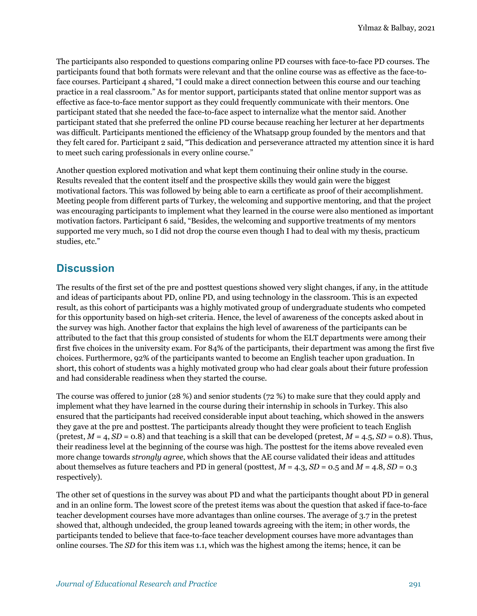The participants also responded to questions comparing online PD courses with face-to-face PD courses. The participants found that both formats were relevant and that the online course was as effective as the face-toface courses. Participant 4 shared, "I could make a direct connection between this course and our teaching practice in a real classroom." As for mentor support, participants stated that online mentor support was as effective as face-to-face mentor support as they could frequently communicate with their mentors. One participant stated that she needed the face-to-face aspect to internalize what the mentor said. Another participant stated that she preferred the online PD course because reaching her lecturer at her departments was difficult. Participants mentioned the efficiency of the Whatsapp group founded by the mentors and that they felt cared for. Participant 2 said, "This dedication and perseverance attracted my attention since it is hard to meet such caring professionals in every online course."

Another question explored motivation and what kept them continuing their online study in the course. Results revealed that the content itself and the prospective skills they would gain were the biggest motivational factors. This was followed by being able to earn a certificate as proof of their accomplishment. Meeting people from different parts of Turkey, the welcoming and supportive mentoring, and that the project was encouraging participants to implement what they learned in the course were also mentioned as important motivation factors. Participant 6 said, "Besides, the welcoming and supportive treatments of my mentors supported me very much, so I did not drop the course even though I had to deal with my thesis, practicum studies, etc."

## **Discussion**

The results of the first set of the pre and posttest questions showed very slight changes, if any, in the attitude and ideas of participants about PD, online PD, and using technology in the classroom. This is an expected result, as this cohort of participants was a highly motivated group of undergraduate students who competed for this opportunity based on high-set criteria. Hence, the level of awareness of the concepts asked about in the survey was high. Another factor that explains the high level of awareness of the participants can be attributed to the fact that this group consisted of students for whom the ELT departments were among their first five choices in the university exam. For 84% of the participants, their department was among the first five choices. Furthermore, 92% of the participants wanted to become an English teacher upon graduation. In short, this cohort of students was a highly motivated group who had clear goals about their future profession and had considerable readiness when they started the course.

The course was offered to junior (28 %) and senior students (72 %) to make sure that they could apply and implement what they have learned in the course during their internship in schools in Turkey. This also ensured that the participants had received considerable input about teaching, which showed in the answers they gave at the pre and posttest. The participants already thought they were proficient to teach English (pretest,  $M = 4$ ,  $SD = 0.8$ ) and that teaching is a skill that can be developed (pretest,  $M = 4.5$ ,  $SD = 0.8$ ). Thus, their readiness level at the beginning of the course was high. The posttest for the items above revealed even more change towards *strongly agree*, which shows that the AE course validated their ideas and attitudes about themselves as future teachers and PD in general (posttest, *M* = 4.3, *SD* = 0.5 and *M* = 4.8, *SD* = 0.3 respectively).

The other set of questions in the survey was about PD and what the participants thought about PD in general and in an online form. The lowest score of the pretest items was about the question that asked if face-to-face teacher development courses have more advantages than online courses. The average of 3.7 in the pretest showed that, although undecided, the group leaned towards agreeing with the item; in other words, the participants tended to believe that face-to-face teacher development courses have more advantages than online courses. The *SD* for this item was 1.1, which was the highest among the items; hence, it can be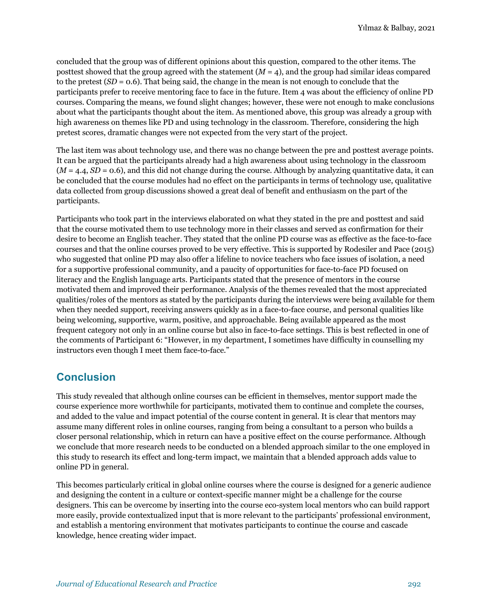concluded that the group was of different opinions about this question, compared to the other items. The posttest showed that the group agreed with the statement (*M* = 4), and the group had similar ideas compared to the pretest (*SD* = 0.6). That being said, the change in the mean is not enough to conclude that the participants prefer to receive mentoring face to face in the future. Item 4 was about the efficiency of online PD courses. Comparing the means, we found slight changes; however, these were not enough to make conclusions about what the participants thought about the item. As mentioned above, this group was already a group with high awareness on themes like PD and using technology in the classroom. Therefore, considering the high pretest scores, dramatic changes were not expected from the very start of the project.

The last item was about technology use, and there was no change between the pre and posttest average points. It can be argued that the participants already had a high awareness about using technology in the classroom  $(M = 4.4, SD = 0.6)$ , and this did not change during the course. Although by analyzing quantitative data, it can be concluded that the course modules had no effect on the participants in terms of technology use, qualitative data collected from group discussions showed a great deal of benefit and enthusiasm on the part of the participants.

Participants who took part in the interviews elaborated on what they stated in the pre and posttest and said that the course motivated them to use technology more in their classes and served as confirmation for their desire to become an English teacher. They stated that the online PD course was as effective as the face-to-face courses and that the online courses proved to be very effective. This is supported by Rodesiler and Pace (2015) who suggested that online PD may also offer a lifeline to novice teachers who face issues of isolation, a need for a supportive professional community, and a paucity of opportunities for face-to-face PD focused on literacy and the English language arts. Participants stated that the presence of mentors in the course motivated them and improved their performance. Analysis of the themes revealed that the most appreciated qualities/roles of the mentors as stated by the participants during the interviews were being available for them when they needed support, receiving answers quickly as in a face-to-face course, and personal qualities like being welcoming, supportive, warm, positive, and approachable. Being available appeared as the most frequent category not only in an online course but also in face-to-face settings. This is best reflected in one of the comments of Participant 6: "However, in my department, I sometimes have difficulty in counselling my instructors even though I meet them face-to-face."

# **Conclusion**

This study revealed that although online courses can be efficient in themselves, mentor support made the course experience more worthwhile for participants, motivated them to continue and complete the courses, and added to the value and impact potential of the course content in general. It is clear that mentors may assume many different roles in online courses, ranging from being a consultant to a person who builds a closer personal relationship, which in return can have a positive effect on the course performance. Although we conclude that more research needs to be conducted on a blended approach similar to the one employed in this study to research its effect and long-term impact, we maintain that a blended approach adds value to online PD in general.

This becomes particularly critical in global online courses where the course is designed for a generic audience and designing the content in a culture or context-specific manner might be a challenge for the course designers. This can be overcome by inserting into the course eco-system local mentors who can build rapport more easily, provide contextualized input that is more relevant to the participants' professional environment, and establish a mentoring environment that motivates participants to continue the course and cascade knowledge, hence creating wider impact.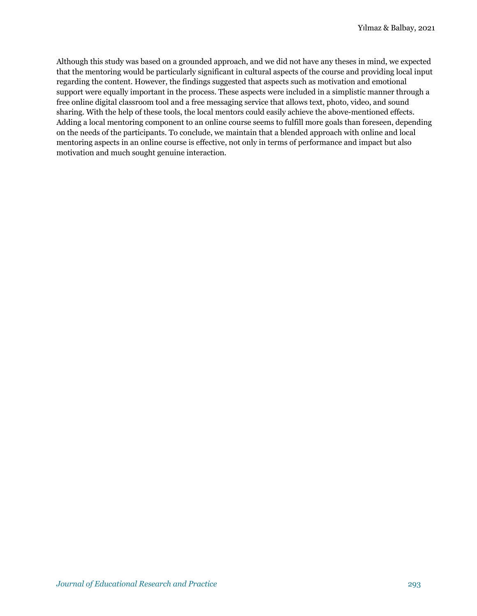Although this study was based on a grounded approach, and we did not have any theses in mind, we expected that the mentoring would be particularly significant in cultural aspects of the course and providing local input regarding the content. However, the findings suggested that aspects such as motivation and emotional support were equally important in the process. These aspects were included in a simplistic manner through a free online digital classroom tool and a free messaging service that allows text, photo, video, and sound sharing. With the help of these tools, the local mentors could easily achieve the above-mentioned effects. Adding a local mentoring component to an online course seems to fulfill more goals than foreseen, depending on the needs of the participants. To conclude, we maintain that a blended approach with online and local mentoring aspects in an online course is effective, not only in terms of performance and impact but also motivation and much sought genuine interaction.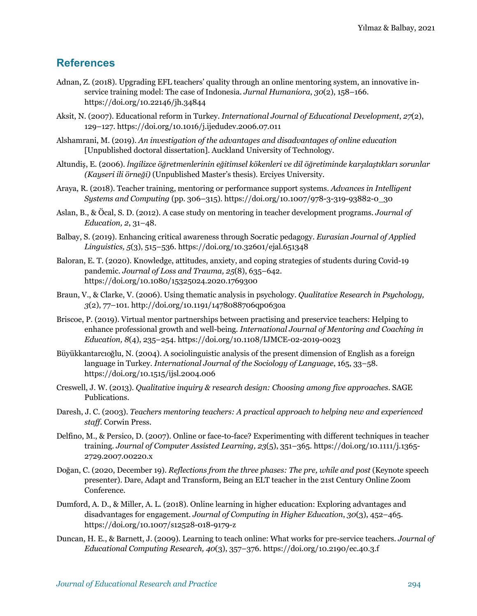## **References**

- Adnan, Z. (2018). Upgrading EFL teachers' quality through an online mentoring system, an innovative inservice training model: The case of Indonesia. *Jurnal Humaniora*, *30*(2), 158–166. https://doi.org/10.22146/jh.34844
- Aksit, N. (2007). Educational reform in Turkey. *International Journal of Educational Development*, *27*(2), 129–127. https://doi.org/10.1016/j.ijedudev.2006.07.011
- Alshamrani, M. (2019). *An investigation of the advantages and disadvantages of online education*  [Unpublished doctoral dissertation]. Auckland University of Technology.
- Altundiş, E. (2006). *İngilizce öğretmenlerinin eğitimsel kökenleri ve dil öğretiminde karşılaştıkları sorunlar (Kayseri ili örneği)* (Unpublished Master's thesis). Erciyes University.
- Araya, R. (2018). Teacher training, mentoring or performance support systems. *Advances in Intelligent Systems and Computing* (pp. 306–315). https://doi.org/10.1007/978-3-319-93882-0\_30
- Aslan, B., & Öcal, S. D. (2012). A case study on mentoring in teacher development programs. *Journal of Education, 2*, 31–48.
- Balbay, S. (2019). Enhancing critical awareness through Socratic pedagogy. *Eurasian Journal of Applied Linguistics, 5*(3), 515–536. https://doi.org/10.32601/ejal.651348
- Baloran, E. T. (2020). Knowledge, attitudes, anxiety, and coping strategies of students during Covid-19 pandemic. *Journal of Loss and Trauma, 25*(8), 635–642. https://doi.org/10.1080/15325024.2020.1769300
- Braun, V., & Clarke, V. (2006). Using thematic analysis in psychology. *Qualitative Research in Psychology, 3*(2), 77–101. http://doi.org/10.1191/1478088706qp063oa
- Briscoe, P. (2019). Virtual mentor partnerships between practising and preservice teachers: Helping to enhance professional growth and well-being*. International Journal of Mentoring and Coaching in Education, 8*(4), 235–254. https://doi.org/10.1108/IJMCE-02-2019-0023
- Büyükkantarcıoğlu, N. (2004). A sociolinguistic analysis of the present dimension of English as a foreign language in Turkey. *International Journal of the Sociology of Language*, 165, 33–58. https://doi.org/10.1515/ijsl.2004.006
- Creswell, J. W. (2013). *Qualitative inquiry & research design: Choosing among five approaches*. SAGE Publications.
- Daresh, J. C. (2003). *Teachers mentoring teachers: A practical approach to helping new and experienced staff*. Corwin Press.
- Delfino, M., & Persico, D. (2007). Online or face-to-face? Experimenting with different techniques in teacher training. *Journal of Computer Assisted Learning, 23*(5), 351–365. https://doi.org/10.1111/j.1365- 2729.2007.00220.x
- Doğan, C. (2020, December 19). *Reflections from the three phases: The pre, while and post* (Keynote speech presenter). Dare, Adapt and Transform, Being an ELT teacher in the 21st Century Online Zoom Conference.
- Dumford, A. D., & Miller, A. L. (2018). Online learning in higher education: Exploring advantages and disadvantages for engagement. *Journal of Computing in Higher Education*, *30*(3), 452–465. https://doi.org/10.1007/s12528-018-9179-z
- Duncan, H. E., & Barnett, J. (2009). Learning to teach online: What works for pre-service teachers. *Journal of Educational Computing Research, 40*(3), 357–376. https://doi.org/10.2190/ec.40.3.f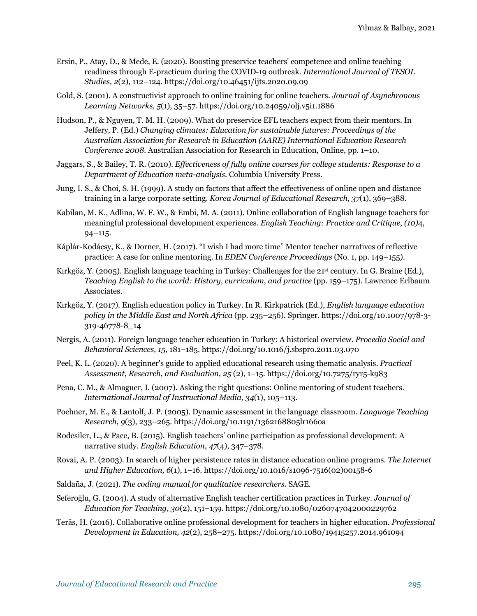- Ersin, P., Atay, D., & Mede, E. (2020). Boosting preservice teachers' competence and online teaching readiness through E-practicum during the COVID-19 outbreak. *International Journal of TESOL Studies, 2*(2), 112–124. https://doi.org/10.46451/ijts.2020.09.09
- Gold, S. (2001). A constructivist approach to online training for online teachers. *Journal of Asynchronous Learning Networks, 5*(1), 35–57. https://doi.org/10.24059/olj.v5i1.1886
- Hudson, P., & Nguyen, T. M. H. (2009). What do preservice EFL teachers expect from their mentors. In Jeffery, P. (Ed.) *Changing climates: Education for sustainable futures: Proceedings of the Australian Association for Research in Education (AARE) International Education Research Conference 2008*. Australian Association for Research in Education, Online, pp. 1–10.
- Jaggars, S., & Bailey, T. R. (2010). *Effectiveness of fully online courses for college students: Response to a Department of Education meta-analysis*. Columbia University Press.
- Jung, I. S., & Choi, S. H. (1999). A study on factors that affect the effectiveness of online open and distance training in a large corporate setting. *Korea Journal of Educational Research, 37*(1), 369–388.
- Kabilan, M. K., Adlina, W. F. W., & Embi, M. A. (2011). Online collaboration of English language teachers for meaningful professional development experiences. *English Teaching: Practice and Critique*, *(10)*4, 94–115.
- Káplár-Kodácsy, K., & Dorner, H. (2017). "I wish I had more time" Mentor teacher narratives of reflective practice: A case for online mentoring. In *EDEN Conference Proceedings* (No. 1, pp. 149–155).
- Kırkgöz, Y. (2005). English language teaching in Turkey: Challenges for the 21st century. In G. Braine (Ed.), *Teaching English to the world: History, curriculum, and practice (pp. 159–175). Lawrence Erlbaum* Associates.
- Kırkgöz, Y. (2017). English education policy in Turkey. In R. Kirkpatrick (Ed.), *English language education policy in the Middle East and North Africa* (pp. 235–256). Springer. https://doi.org/10.1007/978-3- 319-46778-8\_14
- Nergis, A. (2011). Foreign language teacher education in Turkey: A historical overview. *Procedia Social and Behavioral Sciences, 15*, 181–185. https://doi.org/10.1016/j.sbspro.2011.03.070
- Peel, K. L. (2020). A beginner's guide to applied educational research using thematic analysis. *Practical Assessment, Research, and Evaluation, 25* (2), 1–15. https://doi.org/10.7275/ryr5-k983
- Pena, C. M., & Almaguer, I. (2007). Asking the right questions: Online mentoring of student teachers. *International Journal of Instructional Media, 34*(1), 105–113.
- Poehner, M. E., & Lantolf, J. P. (2005). Dynamic assessment in the language classroom. *Language Teaching Research, 9*(3), 233–265. https://doi.org/10.1191/1362168805lr166oa
- Rodesiler, L., & Pace, B. (2015). English teachers' online participation as professional development: A narrative study. *English Education, 47*(4), 347–378.
- Rovai, A. P. (2003). In search of higher persistence rates in distance education online programs. *The Internet and Higher Education, 6*(1), 1–16. https://doi.org/10.1016/s1096-7516(02)00158-6
- Saldaña, J. (2021). *The coding manual for qualitative researchers*. SAGE.
- Seferoğlu, G. (2004). A study of alternative English teacher certification practices in Turkey. *Journal of Education for Teaching*, *30*(2), 151–159. https://doi.org/10.1080/0260747042000229762
- Teräs, H. (2016). Collaborative online professional development for teachers in higher education. *Professional Development in Education, 42*(2), 258–275. https://doi.org/10.1080/19415257.2014.961094